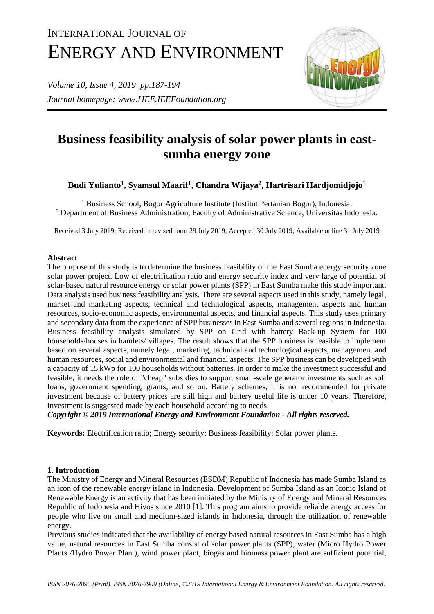# INTERNATIONAL JOURNAL OF ENERGY AND ENVIRONMENT

*Volume 10, Issue 4, 2019 pp.187-194 Journal homepage: www.IJEE.IEEFoundation.org*



# **Business feasibility analysis of solar power plants in eastsumba energy zone**

**Budi Yulianto<sup>1</sup> , Syamsul Maarif<sup>1</sup> , Chandra Wijaya<sup>2</sup> , Hartrisari Hardjomidjojo<sup>1</sup>**

<sup>1</sup> Business School, Bogor Agriculture Institute (Institut Pertanian Bogor), Indonesia. <sup>2</sup> Department of Business Administration, Faculty of Administrative Science, Universitas Indonesia.

Received 3 July 2019; Received in revised form 29 July 2019; Accepted 30 July 2019; Available online 31 July 2019

# **Abstract**

The purpose of this study is to determine the business feasibility of the East Sumba energy security zone solar power project. Low of electrification ratio and energy security index and very large of potential of solar-based natural resource energy or solar power plants (SPP) in East Sumba make this study important. Data analysis used business feasibility analysis. There are several aspects used in this study, namely legal, market and marketing aspects, technical and technological aspects, management aspects and human resources, socio-economic aspects, environmental aspects, and financial aspects. This study uses primary and secondary data from the experience of SPP businesses in East Sumba and several regions in Indonesia. Business feasibility analysis simulated by SPP on Grid with battery Back-up System for 100 households/houses in hamlets/ villages. The result shows that the SPP business is feasible to implement based on several aspects, namely legal, marketing, technical and technological aspects, management and human resources, social and environmental and financial aspects. The SPP business can be developed with a capacity of 15 kWp for 100 households without batteries. In order to make the investment successful and feasible, it needs the role of "cheap" subsidies to support small-scale generator investments such as soft loans, government spending, grants, and so on. Battery schemes, it is not recommended for private investment because of battery prices are still high and battery useful life is under 10 years. Therefore, investment is suggested made by each household according to needs.

*Copyright © 2019 International Energy and Environment Foundation - All rights reserved.*

**Keywords:** Electrification ratio; Energy security; Business feasibility: Solar power plants.

# **1. Introduction**

The Ministry of Energy and Mineral Resources (ESDM) Republic of Indonesia has made Sumba Island as an icon of the renewable energy island in Indonesia. Development of Sumba Island as an Iconic Island of Renewable Energy is an activity that has been initiated by the Ministry of Energy and Mineral Resources Republic of Indonesia and Hivos since 2010 [1]. This program aims to provide reliable energy access for people who live on small and medium-sized islands in Indonesia, through the utilization of renewable energy.

Previous studies indicated that the availability of energy based natural resources in East Sumba has a high value, natural resources in East Sumba consist of solar power plants (SPP), water (Micro Hydro Power Plants /Hydro Power Plant), wind power plant, biogas and biomass power plant are sufficient potential,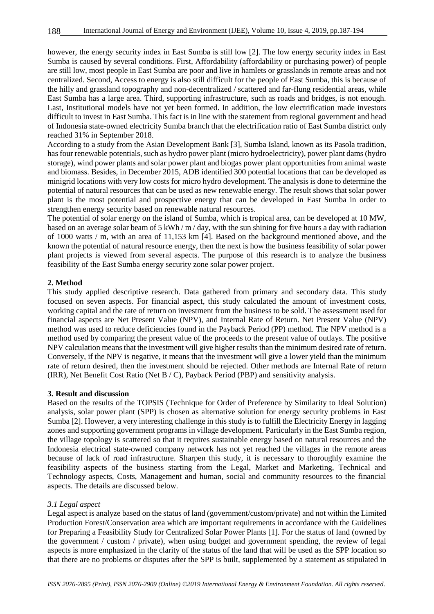however, the energy security index in East Sumba is still low [2]. The low energy security index in East Sumba is caused by several conditions. First, Affordability (affordability or purchasing power) of people are still low, most people in East Sumba are poor and live in hamlets or grasslands in remote areas and not centralized. Second, Access to energy is also still difficult for the people of East Sumba, this is because of the hilly and grassland topography and non-decentralized / scattered and far-flung residential areas, while East Sumba has a large area. Third, supporting infrastructure, such as roads and bridges, is not enough. Last, Institutional models have not yet been formed. In addition, the low electrification made investors difficult to invest in East Sumba. This fact is in line with the statement from regional government and head of Indonesia state-owned electricity Sumba branch that the electrification ratio of East Sumba district only reached 31% in September 2018.

According to a study from the Asian Development Bank [3], Sumba Island, known as its Pasola tradition, has four renewable potentials, such as hydro power plant (micro hydroelectricity), power plant dams (hydro storage), wind power plants and solar power plant and biogas power plant opportunities from animal waste and biomass. Besides, in December 2015, ADB identified 300 potential locations that can be developed as minigrid locations with very low costs for micro hydro development. The analysis is done to determine the potential of natural resources that can be used as new renewable energy. The result shows that solar power plant is the most potential and prospective energy that can be developed in East Sumba in order to strengthen energy security based on renewable natural resources.

The potential of solar energy on the island of Sumba, which is tropical area, can be developed at 10 MW, based on an average solar beam of 5 kWh / m / day, with the sun shining for five hours a day with radiation of 1000 watts / m, with an area of 11,153 km [4]. Based on the background mentioned above, and the known the potential of natural resource energy, then the next is how the business feasibility of solar power plant projects is viewed from several aspects. The purpose of this research is to analyze the business feasibility of the East Sumba energy security zone solar power project.

# **2. Method**

This study applied descriptive research. Data gathered from primary and secondary data. This study focused on seven aspects. For financial aspect, this study calculated the amount of investment costs, working capital and the rate of return on investment from the business to be sold. The assessment used for financial aspects are Net Present Value (NPV), and Internal Rate of Return. Net Present Value (NPV) method was used to reduce deficiencies found in the Payback Period (PP) method. The NPV method is a method used by comparing the present value of the proceeds to the present value of outlays. The positive NPV calculation means that the investment will give higher results than the minimum desired rate of return. Conversely, if the NPV is negative, it means that the investment will give a lower yield than the minimum rate of return desired, then the investment should be rejected. Other methods are Internal Rate of return (IRR), Net Benefit Cost Ratio (Net B / C), Payback Period (PBP) and sensitivity analysis.

#### **3. Result and discussion**

Based on the results of the TOPSIS (Technique for Order of Preference by Similarity to Ideal Solution) analysis, solar power plant (SPP) is chosen as alternative solution for energy security problems in East Sumba [2]. However, a very interesting challenge in this study is to fulfill the Electricity Energy in lagging zones and supporting government programs in village development. Particularly in the East Sumba region, the village topology is scattered so that it requires sustainable energy based on natural resources and the Indonesia electrical state-owned company network has not yet reached the villages in the remote areas because of lack of road infrastructure. Sharpen this study, it is necessary to thoroughly examine the feasibility aspects of the business starting from the Legal, Market and Marketing, Technical and Technology aspects, Costs, Management and human, social and community resources to the financial aspects. The details are discussed below.

#### *3.1 Legal aspect*

Legal aspect is analyze based on the status of land (government/custom/private) and not within the Limited Production Forest/Conservation area which are important requirements in accordance with the Guidelines for Preparing a Feasibility Study for Centralized Solar Power Plants [1]. For the status of land (owned by the government / custom / private), when using budget and government spending, the review of legal aspects is more emphasized in the clarity of the status of the land that will be used as the SPP location so that there are no problems or disputes after the SPP is built, supplemented by a statement as stipulated in

188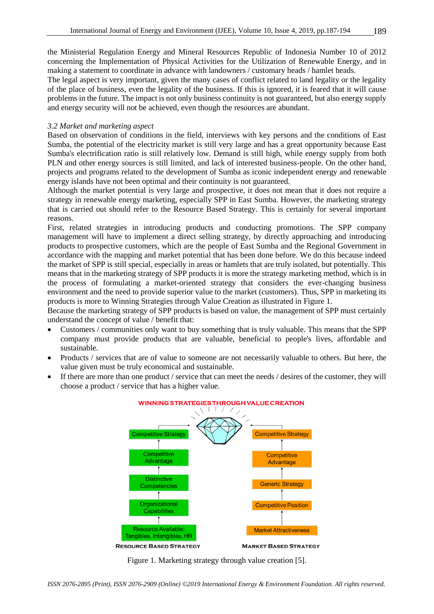the Ministerial Regulation Energy and Mineral Resources Republic of Indonesia Number 10 of 2012 concerning the Implementation of Physical Activities for the Utilization of Renewable Energy, and in making a statement to coordinate in advance with landowners / customary heads / hamlet heads.

The legal aspect is very important, given the many cases of conflict related to land legality or the legality of the place of business, even the legality of the business. If this is ignored, it is feared that it will cause problems in the future. The impact is not only business continuity is not guaranteed, but also energy supply and energy security will not be achieved, even though the resources are abundant.

# *3.2 Market and marketing aspect*

Based on observation of conditions in the field, interviews with key persons and the conditions of East Sumba, the potential of the electricity market is still very large and has a great opportunity because East Sumba's electrification ratio is still relatively low. Demand is still high, while energy supply from both PLN and other energy sources is still limited, and lack of interested business-people. On the other hand, projects and programs related to the development of Sumba as iconic independent energy and renewable energy islands have not been optimal and their continuity is not guaranteed.

Although the market potential is very large and prospective, it does not mean that it does not require a strategy in renewable energy marketing, especially SPP in East Sumba. However, the marketing strategy that is carried out should refer to the Resource Based Strategy. This is certainly for several important reasons.

First, related strategies in introducing products and conducting promotions. The SPP company management will have to implement a direct selling strategy, by directly approaching and introducing products to prospective customers, which are the people of East Sumba and the Regional Government in accordance with the mapping and market potential that has been done before. We do this because indeed the market of SPP is still special, especially in areas or hamlets that are truly isolated, but potentially. This means that in the marketing strategy of SPP products it is more the strategy marketing method, which is in the process of formulating a market-oriented strategy that considers the ever-changing business environment and the need to provide superior value to the market (customers). Thus, SPP in marketing its products is more to Winning Strategies through Value Creation as illustrated in Figure 1.

Because the marketing strategy of SPP products is based on value, the management of SPP must certainly understand the concept of value / benefit that:

- Customers / communities only want to buy something that is truly valuable. This means that the SPP company must provide products that are valuable, beneficial to people's lives, affordable and sustainable.
- Products / services that are of value to someone are not necessarily valuable to others. But here, the value given must be truly economical and sustainable.
- If there are more than one product / service that can meet the needs / desires of the customer, they will choose a product / service that has a higher value.



#### **WINNING STRATEGIES THROUGH VALUE CREATION**

Figure 1. Marketing strategy through value creation [5].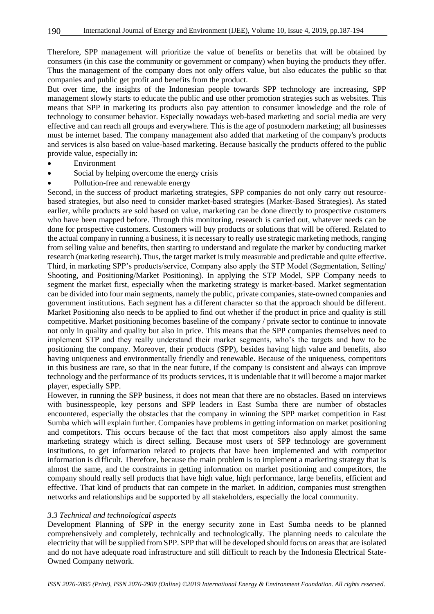Therefore, SPP management will prioritize the value of benefits or benefits that will be obtained by consumers (in this case the community or government or company) when buying the products they offer. Thus the management of the company does not only offers value, but also educates the public so that companies and public get profit and benefits from the product.

But over time, the insights of the Indonesian people towards SPP technology are increasing, SPP management slowly starts to educate the public and use other promotion strategies such as websites. This means that SPP in marketing its products also pay attention to consumer knowledge and the role of technology to consumer behavior. Especially nowadays web-based marketing and social media are very effective and can reach all groups and everywhere. This is the age of postmodern marketing; all businesses must be internet based. The company management also added that marketing of the company's products and services is also based on value-based marketing. Because basically the products offered to the public provide value, especially in:

- Environment
- Social by helping overcome the energy crisis
- Pollution-free and renewable energy

Second, in the success of product marketing strategies, SPP companies do not only carry out resourcebased strategies, but also need to consider market-based strategies (Market-Based Strategies). As stated earlier, while products are sold based on value, marketing can be done directly to prospective customers who have been mapped before. Through this monitoring, research is carried out, whatever needs can be done for prospective customers. Customers will buy products or solutions that will be offered. Related to the actual company in running a business, it is necessary to really use strategic marketing methods, ranging from selling value and benefits, then starting to understand and regulate the market by conducting market research (marketing research). Thus, the target market is truly measurable and predictable and quite effective. Third, in marketing SPP's products/service, Company also apply the STP Model (Segmentation, Setting/ Shooting, and Positioning/Market Positioning). In applying the STP Model, SPP Company needs to segment the market first, especially when the marketing strategy is market-based. Market segmentation can be divided into four main segments, namely the public, private companies, state-owned companies and government institutions. Each segment has a different character so that the approach should be different. Market Positioning also needs to be applied to find out whether if the product in price and quality is still competitive. Market positioning becomes baseline of the company / private sector to continue to innovate not only in quality and quality but also in price. This means that the SPP companies themselves need to implement STP and they really understand their market segments, who's the targets and how to be positioning the company. Moreover, their products (SPP), besides having high value and benefits, also having uniqueness and environmentally friendly and renewable. Because of the uniqueness, competitors in this business are rare, so that in the near future, if the company is consistent and always can improve technology and the performance of its products services, it is undeniable that it will become a major market player, especially SPP.

However, in running the SPP business, it does not mean that there are no obstacles. Based on interviews with businesspeople, key persons and SPP leaders in East Sumba there are number of obstacles encountered, especially the obstacles that the company in winning the SPP market competition in East Sumba which will explain further. Companies have problems in getting information on market positioning and competitors. This occurs because of the fact that most competitors also apply almost the same marketing strategy which is direct selling. Because most users of SPP technology are government institutions, to get information related to projects that have been implemented and with competitor information is difficult. Therefore, because the main problem is to implement a marketing strategy that is almost the same, and the constraints in getting information on market positioning and competitors, the company should really sell products that have high value, high performance, large benefits, efficient and effective. That kind of products that can compete in the market. In addition, companies must strengthen networks and relationships and be supported by all stakeholders, especially the local community.

#### *3.3 Technical and technological aspects*

Development Planning of SPP in the energy security zone in East Sumba needs to be planned comprehensively and completely, technically and technologically. The planning needs to calculate the electricity that will be supplied from SPP. SPP that will be developed should focus on areas that are isolated and do not have adequate road infrastructure and still difficult to reach by the Indonesia Electrical State-Owned Company network.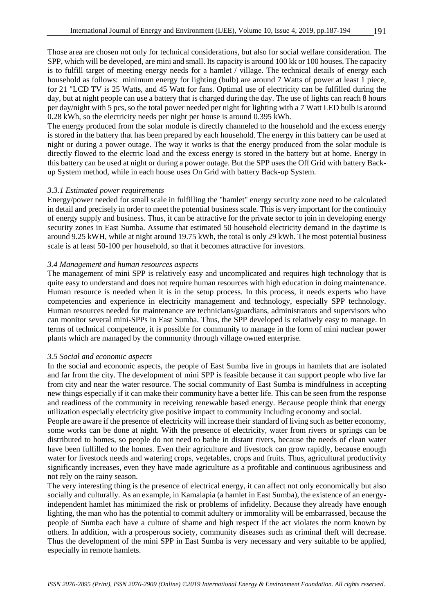Those area are chosen not only for technical considerations, but also for social welfare consideration. The SPP, which will be developed, are mini and small. Its capacity is around 100 kk or 100 houses. The capacity is to fulfill target of meeting energy needs for a hamlet / village. The technical details of energy each household as follows: minimum energy for lighting (bulb) are around 7 Watts of power at least 1 piece, for 21 "LCD TV is 25 Watts, and 45 Watt for fans. Optimal use of electricity can be fulfilled during the day, but at night people can use a battery that is charged during the day. The use of lights can reach 8 hours per day/night with 5 pcs, so the total power needed per night for lighting with a 7 Watt LED bulb is around 0.28 kWh, so the electricity needs per night per house is around 0.395 kWh.

The energy produced from the solar module is directly channeled to the household and the excess energy is stored in the battery that has been prepared by each household. The energy in this battery can be used at night or during a power outage. The way it works is that the energy produced from the solar module is directly flowed to the electric load and the excess energy is stored in the battery but at home. Energy in this battery can be used at night or during a power outage. But the SPP uses the Off Grid with battery Backup System method, while in each house uses On Grid with battery Back-up System.

#### *3.3.1 Estimated power requirements*

Energy/power needed for small scale in fulfilling the "hamlet" energy security zone need to be calculated in detail and precisely in order to meet the potential business scale. This is very important for the continuity of energy supply and business. Thus, it can be attractive for the private sector to join in developing energy security zones in East Sumba. Assume that estimated 50 household electricity demand in the daytime is around 9.25 kWH, while at night around 19.75 kWh, the total is only 29 kWh. The most potential business scale is at least 50-100 per household, so that it becomes attractive for investors.

#### *3.4 Management and human resources aspects*

The management of mini SPP is relatively easy and uncomplicated and requires high technology that is quite easy to understand and does not require human resources with high education in doing maintenance. Human resource is needed when it is in the setup process. In this process, it needs experts who have competencies and experience in electricity management and technology, especially SPP technology. Human resources needed for maintenance are technicians/guardians, administrators and supervisors who can monitor several mini-SPPs in East Sumba. Thus, the SPP developed is relatively easy to manage. In terms of technical competence, it is possible for community to manage in the form of mini nuclear power plants which are managed by the community through village owned enterprise.

#### *3.5 Social and economic aspects*

In the social and economic aspects, the people of East Sumba live in groups in hamlets that are isolated and far from the city. The development of mini SPP is feasible because it can support people who live far from city and near the water resource. The social community of East Sumba is mindfulness in accepting new things especially if it can make their community have a better life. This can be seen from the response and readiness of the community in receiving renewable based energy. Because people think that energy utilization especially electricity give positive impact to community including economy and social.

People are aware if the presence of electricity will increase their standard of living such as better economy, some works can be done at night. With the presence of electricity, water from rivers or springs can be distributed to homes, so people do not need to bathe in distant rivers, because the needs of clean water have been fulfilled to the homes. Even their agriculture and livestock can grow rapidly, because enough water for livestock needs and watering crops, vegetables, crops and fruits. Thus, agricultural productivity significantly increases, even they have made agriculture as a profitable and continuous agribusiness and not rely on the rainy season.

The very interesting thing is the presence of electrical energy, it can affect not only economically but also socially and culturally. As an example, in Kamalapia (a hamlet in East Sumba), the existence of an energyindependent hamlet has minimized the risk or problems of infidelity. Because they already have enough lighting, the man who has the potential to commit adultery or immorality will be embarrassed, because the people of Sumba each have a culture of shame and high respect if the act violates the norm known by others. In addition, with a prosperous society, community diseases such as criminal theft will decrease. Thus the development of the mini SPP in East Sumba is very necessary and very suitable to be applied, especially in remote hamlets.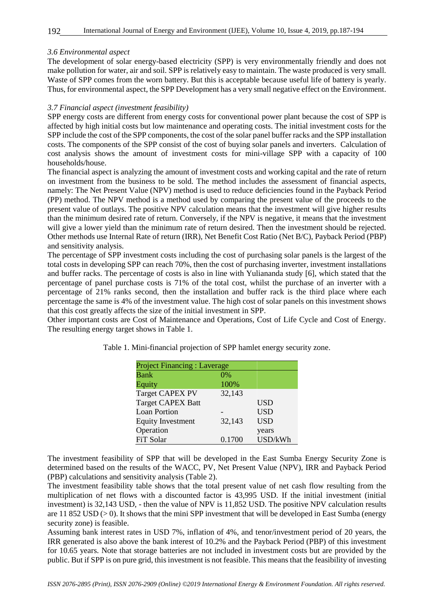# *3.6 Environmental aspect*

The development of solar energy-based electricity (SPP) is very environmentally friendly and does not make pollution for water, air and soil. SPP is relatively easy to maintain. The waste produced is very small. Waste of SPP comes from the worn battery. But this is acceptable because useful life of battery is yearly. Thus, for environmental aspect, the SPP Development has a very small negative effect on the Environment.

#### *3.7 Financial aspect (investment feasibility)*

SPP energy costs are different from energy costs for conventional power plant because the cost of SPP is affected by high initial costs but low maintenance and operating costs. The initial investment costs for the SPP include the cost of the SPP components, the cost of the solar panel buffer racks and the SPP installation costs. The components of the SPP consist of the cost of buying solar panels and inverters. Calculation of cost analysis shows the amount of investment costs for mini-village SPP with a capacity of 100 households/house.

The financial aspect is analyzing the amount of investment costs and working capital and the rate of return on investment from the business to be sold. The method includes the assessment of financial aspects, namely: The Net Present Value (NPV) method is used to reduce deficiencies found in the Payback Period (PP) method. The NPV method is a method used by comparing the present value of the proceeds to the present value of outlays. The positive NPV calculation means that the investment will give higher results than the minimum desired rate of return. Conversely, if the NPV is negative, it means that the investment will give a lower yield than the minimum rate of return desired. Then the investment should be rejected. Other methods use Internal Rate of return (IRR), Net Benefit Cost Ratio (Net B/C), Payback Period (PBP) and sensitivity analysis.

The percentage of SPP investment costs including the cost of purchasing solar panels is the largest of the total costs in developing SPP can reach 70%, then the cost of purchasing inverter, investment installations and buffer racks. The percentage of costs is also in line with Yuliananda study [6], which stated that the percentage of panel purchase costs is 71% of the total cost, whilst the purchase of an inverter with a percentage of 21% ranks second, then the installation and buffer rack is the third place where each percentage the same is 4% of the investment value. The high cost of solar panels on this investment shows that this cost greatly affects the size of the initial investment in SPP.

Other important costs are Cost of Maintenance and Operations, Cost of Life Cycle and Cost of Energy. The resulting energy target shows in Table 1.

| <b>Project Financing: Laverage</b> |        |            |
|------------------------------------|--------|------------|
| <b>Bank</b>                        | $0\%$  |            |
| Equity                             | 100%   |            |
| <b>Target CAPEX PV</b>             | 32,143 |            |
| <b>Target CAPEX Batt</b>           |        | <b>USD</b> |
| <b>Loan Portion</b>                |        | <b>USD</b> |
| <b>Equity Investment</b>           | 32,143 | <b>USD</b> |
| Operation                          |        | years      |
| FiT Solar                          | 0.1700 | USD/kWh    |

Table 1. Mini-financial projection of SPP hamlet energy security zone.

The investment feasibility of SPP that will be developed in the East Sumba Energy Security Zone is determined based on the results of the WACC, PV, Net Present Value (NPV), IRR and Payback Period (PBP) calculations and sensitivity analysis (Table 2).

The investment feasibility table shows that the total present value of net cash flow resulting from the multiplication of net flows with a discounted factor is 43,995 USD. If the initial investment (initial investment) is 32,143 USD, - then the value of NPV is 11,852 USD. The positive NPV calculation results are 11 852 USD  $(> 0)$ . It shows that the mini SPP investment that will be developed in East Sumba (energy security zone) is feasible.

Assuming bank interest rates in USD 7%, inflation of 4%, and tenor/investment period of 20 years, the IRR generated is also above the bank interest of 10.2% and the Payback Period (PBP) of this investment for 10.65 years. Note that storage batteries are not included in investment costs but are provided by the public. But if SPP is on pure grid, this investment is not feasible. This means that the feasibility of investing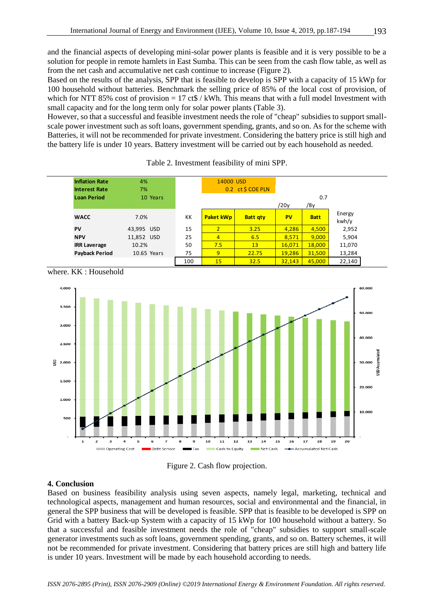and the financial aspects of developing mini-solar power plants is feasible and it is very possible to be a solution for people in remote hamlets in East Sumba. This can be seen from the cash flow table, as well as from the net cash and accumulative net cash continue to increase (Figure 2).

Based on the results of the analysis, SPP that is feasible to develop is SPP with a capacity of 15 kWp for 100 household without batteries. Benchmark the selling price of 85% of the local cost of provision, of which for NTT 85% cost of provision  $= 17 \text{ ct\%} / \text{kWh}$ . This means that with a full model Investment with small capacity and for the long term only for solar power plants (Table 3).

However, so that a successful and feasible investment needs the role of "cheap" subsidies to support smallscale power investment such as soft loans, government spending, grants, and so on. As for the scheme with Batteries, it will not be recommended for private investment. Considering the battery price is still high and the battery life is under 10 years. Battery investment will be carried out by each household as needed.

| <b>Inflation Rate</b> | 4%          |     | 14000 USD        |                   |           |             |        |
|-----------------------|-------------|-----|------------------|-------------------|-----------|-------------|--------|
| <b>Interest Rate</b>  | 7%          |     |                  | 0.2 ct \$ COE PLN |           |             |        |
| <b>Loan Period</b>    | 10 Years    |     |                  |                   |           | 0.7         |        |
|                       |             |     |                  |                   | /20y      | /8у         |        |
| <b>WACC</b>           | 7.0%        | КK  | <b>Paket kWp</b> | <b>Batt gty</b>   | <b>PV</b> | <b>Batt</b> | Energy |
|                       |             |     |                  |                   |           |             | kwh/y  |
| PV                    | 43,995 USD  | 15  | $\overline{2}$   | 3.25              | 4,286     | 4,500       | 2,952  |
| <b>NPV</b>            | 11,852 USD  | 25  | $\overline{4}$   | 6.5               | 8.571     | 9,000       | 5,904  |
| <b>IRR Laverage</b>   | 10.2%       | 50  | 7.5              | 13 <sup>°</sup>   | 16.071    | 18,000      | 11,070 |
| <b>Payback Period</b> | 10.65 Years | 75  | 9                | 22.75             | 19.286    | 31,500      | 13,284 |
|                       |             | 100 | 15               | 32.5              | 32,143    | 45,000      | 22,140 |

where. KK : Household





# **4. Conclusion**

Based on business feasibility analysis using seven aspects, namely legal, marketing, technical and technological aspects, management and human resources, social and environmental and the financial, in general the SPP business that will be developed is feasible. SPP that is feasible to be developed is SPP on Grid with a battery Back-up System with a capacity of 15 kWp for 100 household without a battery. So that a successful and feasible investment needs the role of "cheap" subsidies to support small-scale generator investments such as soft loans, government spending, grants, and so on. Battery schemes, it will not be recommended for private investment. Considering that battery prices are still high and battery life is under 10 years. Investment will be made by each household according to needs.

*ISSN 2076-2895 (Print), ISSN 2076-2909 (Online) ©2019 International Energy & Environment Foundation. All rights reserved.*